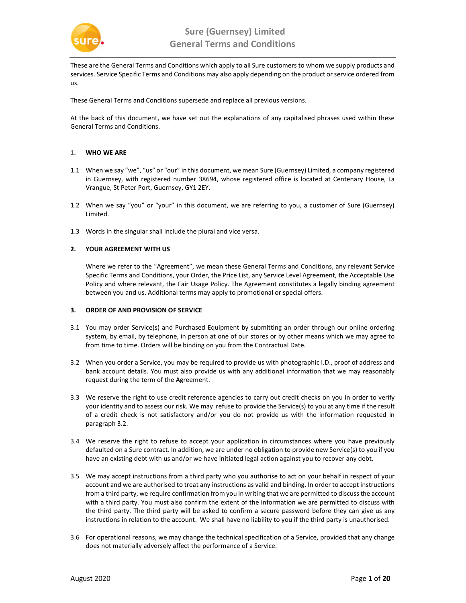

These are the General Terms and Conditions which apply to all Sure customers to whom we supply products and services. Service Specific Terms and Conditions may also apply depending on the product or service ordered from us.

These General Terms and Conditions supersede and replace all previous versions.

At the back of this document, we have set out the explanations of any capitalised phrases used within these General Terms and Conditions.

## 1. WHO WE ARE

- 1.1 When we say "we", "us" or "our" in this document, we mean Sure (Guernsey) Limited, a company registered in Guernsey, with registered number 38694, whose registered office is located at Centenary House, La Vrangue, St Peter Port, Guernsey, GY1 2EY.
- 1.2 When we say "you" or "your" in this document, we are referring to you, a customer of Sure (Guernsey) Limited.
- 1.3 Words in the singular shall include the plural and vice versa.

## 2. YOUR AGREEMENT WITH US

Where we refer to the "Agreement", we mean these General Terms and Conditions, any relevant Service Specific Terms and Conditions, your Order, the Price List, any Service Level Agreement, the Acceptable Use Policy and where relevant, the Fair Usage Policy. The Agreement constitutes a legally binding agreement between you and us. Additional terms may apply to promotional or special offers.

#### 3. ORDER OF AND PROVISION OF SERVICE

- 3.1 You may order Service(s) and Purchased Equipment by submitting an order through our online ordering system, by email, by telephone, in person at one of our stores or by other means which we may agree to from time to time. Orders will be binding on you from the Contractual Date.
- 3.2 When you order a Service, you may be required to provide us with photographic I.D., proof of address and bank account details. You must also provide us with any additional information that we may reasonably request during the term of the Agreement.
- 3.3 We reserve the right to use credit reference agencies to carry out credit checks on you in order to verify your identity and to assess our risk. We may refuse to provide the Service(s) to you at any time if the result of a credit check is not satisfactory and/or you do not provide us with the information requested in paragraph 3.2.
- 3.4 We reserve the right to refuse to accept your application in circumstances where you have previously defaulted on a Sure contract. In addition, we are under no obligation to provide new Service(s) to you if you have an existing debt with us and/or we have initiated legal action against you to recover any debt.
- 3.5 We may accept instructions from a third party who you authorise to act on your behalf in respect of your account and we are authorised to treat any instructions as valid and binding. In order to accept instructions from a third party, we require confirmation from you in writing that we are permitted to discuss the account with a third party. You must also confirm the extent of the information we are permitted to discuss with the third party. The third party will be asked to confirm a secure password before they can give us any instructions in relation to the account. We shall have no liability to you if the third party is unauthorised.
- 3.6 For operational reasons, we may change the technical specification of a Service, provided that any change does not materially adversely affect the performance of a Service.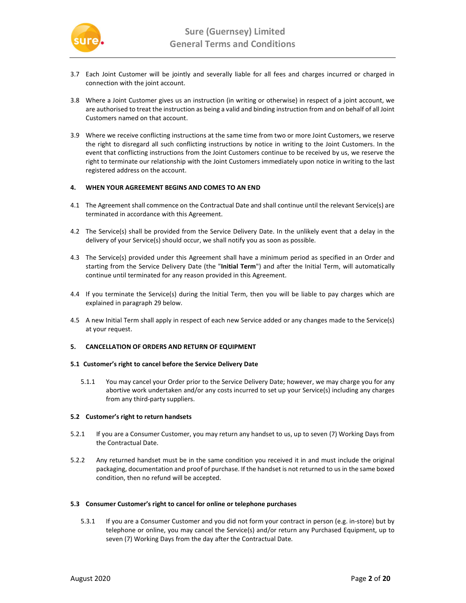

- 3.7 Each Joint Customer will be jointly and severally liable for all fees and charges incurred or charged in connection with the joint account.
- 3.8 Where a Joint Customer gives us an instruction (in writing or otherwise) in respect of a joint account, we are authorised to treat the instruction as being a valid and binding instruction from and on behalf of all Joint Customers named on that account.
- 3.9 Where we receive conflicting instructions at the same time from two or more Joint Customers, we reserve the right to disregard all such conflicting instructions by notice in writing to the Joint Customers. In the event that conflicting instructions from the Joint Customers continue to be received by us, we reserve the right to terminate our relationship with the Joint Customers immediately upon notice in writing to the last registered address on the account.

# 4. WHEN YOUR AGREEMENT BEGINS AND COMES TO AN END

- 4.1 The Agreement shall commence on the Contractual Date and shall continue until the relevant Service(s) are terminated in accordance with this Agreement.
- 4.2 The Service(s) shall be provided from the Service Delivery Date. In the unlikely event that a delay in the delivery of your Service(s) should occur, we shall notify you as soon as possible.
- 4.3 The Service(s) provided under this Agreement shall have a minimum period as specified in an Order and starting from the Service Delivery Date (the "Initial Term") and after the Initial Term, will automatically continue until terminated for any reason provided in this Agreement.
- 4.4 If you terminate the Service(s) during the Initial Term, then you will be liable to pay charges which are explained in paragraph 29 below.
- 4.5 A new Initial Term shall apply in respect of each new Service added or any changes made to the Service(s) at your request.

#### 5. CANCELLATION OF ORDERS AND RETURN OF EQUIPMENT

## 5.1 Customer's right to cancel before the Service Delivery Date

5.1.1 You may cancel your Order prior to the Service Delivery Date; however, we may charge you for any abortive work undertaken and/or any costs incurred to set up your Service(s) including any charges from any third-party suppliers.

# 5.2 Customer's right to return handsets

- 5.2.1 If you are a Consumer Customer, you may return any handset to us, up to seven (7) Working Days from the Contractual Date.
- 5.2.2 Any returned handset must be in the same condition you received it in and must include the original packaging, documentation and proof of purchase. If the handset is not returned to us in the same boxed condition, then no refund will be accepted.

#### 5.3 Consumer Customer's right to cancel for online or telephone purchases

5.3.1 If you are a Consumer Customer and you did not form your contract in person (e.g. in-store) but by telephone or online, you may cancel the Service(s) and/or return any Purchased Equipment, up to seven (7) Working Days from the day after the Contractual Date.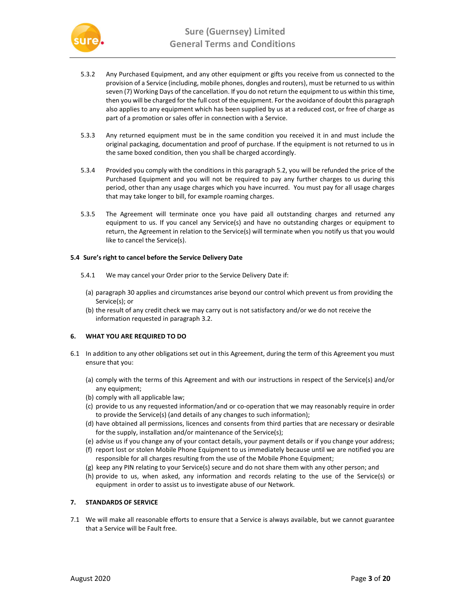

- 5.3.2 Any Purchased Equipment, and any other equipment or gifts you receive from us connected to the provision of a Service (including, mobile phones, dongles and routers), must be returned to us within seven (7) Working Days of the cancellation. If you do not return the equipment to us within this time, then you will be charged for the full cost of the equipment. For the avoidance of doubt this paragraph also applies to any equipment which has been supplied by us at a reduced cost, or free of charge as part of a promotion or sales offer in connection with a Service.
- 5.3.3 Any returned equipment must be in the same condition you received it in and must include the original packaging, documentation and proof of purchase. If the equipment is not returned to us in the same boxed condition, then you shall be charged accordingly.
- 5.3.4 Provided you comply with the conditions in this paragraph 5.2, you will be refunded the price of the Purchased Equipment and you will not be required to pay any further charges to us during this period, other than any usage charges which you have incurred. You must pay for all usage charges that may take longer to bill, for example roaming charges.
- 5.3.5 The Agreement will terminate once you have paid all outstanding charges and returned any equipment to us. If you cancel any Service(s) and have no outstanding charges or equipment to return, the Agreement in relation to the Service(s) will terminate when you notify us that you would like to cancel the Service(s).

## 5.4 Sure's right to cancel before the Service Delivery Date

- 5.4.1 We may cancel your Order prior to the Service Delivery Date if:
- (a) paragraph 30 applies and circumstances arise beyond our control which prevent us from providing the Service(s); or
- (b) the result of any credit check we may carry out is not satisfactory and/or we do not receive the information requested in paragraph 3.2.

# 6. WHAT YOU ARE REQUIRED TO DO

- 6.1 In addition to any other obligations set out in this Agreement, during the term of this Agreement you must ensure that you:
	- (a) comply with the terms of this Agreement and with our instructions in respect of the Service(s) and/or any equipment;
	- (b) comply with all applicable law;
	- (c) provide to us any requested information/and or co-operation that we may reasonably require in order to provide the Service(s) (and details of any changes to such information);
	- (d) have obtained all permissions, licences and consents from third parties that are necessary or desirable for the supply, installation and/or maintenance of the Service(s);
	- (e) advise us if you change any of your contact details, your payment details or if you change your address;
	- (f) report lost or stolen Mobile Phone Equipment to us immediately because until we are notified you are responsible for all charges resulting from the use of the Mobile Phone Equipment;
	- (g) keep any PIN relating to your Service(s) secure and do not share them with any other person; and
	- (h) provide to us, when asked, any information and records relating to the use of the Service(s) or equipment in order to assist us to investigate abuse of our Network.

# 7. STANDARDS OF SERVICE

7.1 We will make all reasonable efforts to ensure that a Service is always available, but we cannot guarantee that a Service will be Fault free.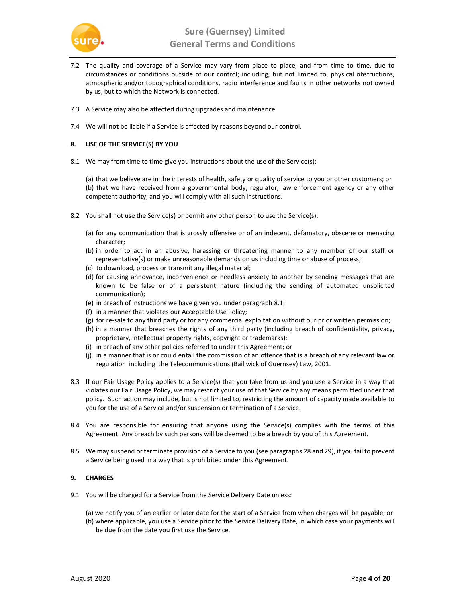

- 7.2 The quality and coverage of a Service may vary from place to place, and from time to time, due to circumstances or conditions outside of our control; including, but not limited to, physical obstructions, atmospheric and/or topographical conditions, radio interference and faults in other networks not owned by us, but to which the Network is connected.
- 7.3 A Service may also be affected during upgrades and maintenance.
- 7.4 We will not be liable if a Service is affected by reasons beyond our control.

## 8. USE OF THE SERVICE(S) BY YOU

8.1 We may from time to time give you instructions about the use of the Service(s):

(a) that we believe are in the interests of health, safety or quality of service to you or other customers; or (b) that we have received from a governmental body, regulator, law enforcement agency or any other competent authority, and you will comply with all such instructions.

- 8.2 You shall not use the Service(s) or permit any other person to use the Service(s):
	- (a) for any communication that is grossly offensive or of an indecent, defamatory, obscene or menacing character;
	- (b) in order to act in an abusive, harassing or threatening manner to any member of our staff or representative(s) or make unreasonable demands on us including time or abuse of process;
	- (c) to download, process or transmit any illegal material;
	- (d) for causing annoyance, inconvenience or needless anxiety to another by sending messages that are known to be false or of a persistent nature (including the sending of automated unsolicited communication);
	- (e) in breach of instructions we have given you under paragraph 8.1;
	- (f) in a manner that violates our Acceptable Use Policy;
	- (g) for re-sale to any third party or for any commercial exploitation without our prior written permission;
	- (h) in a manner that breaches the rights of any third party (including breach of confidentiality, privacy, proprietary, intellectual property rights, copyright or trademarks);
	- (i) in breach of any other policies referred to under this Agreement; or
	- (j) in a manner that is or could entail the commission of an offence that is a breach of any relevant law or regulation including the Telecommunications (Bailiwick of Guernsey) Law, 2001.
- 8.3 If our Fair Usage Policy applies to a Service(s) that you take from us and you use a Service in a way that violates our Fair Usage Policy, we may restrict your use of that Service by any means permitted under that policy. Such action may include, but is not limited to, restricting the amount of capacity made available to you for the use of a Service and/or suspension or termination of a Service.
- 8.4 You are responsible for ensuring that anyone using the Service(s) complies with the terms of this Agreement. Any breach by such persons will be deemed to be a breach by you of this Agreement.
- 8.5 We may suspend or terminate provision of a Service to you (see paragraphs 28 and 29), if you fail to prevent a Service being used in a way that is prohibited under this Agreement.

# 9. CHARGES

- 9.1 You will be charged for a Service from the Service Delivery Date unless:
	- (a) we notify you of an earlier or later date for the start of a Service from when charges will be payable; or
	- (b) where applicable, you use a Service prior to the Service Delivery Date, in which case your payments will be due from the date you first use the Service.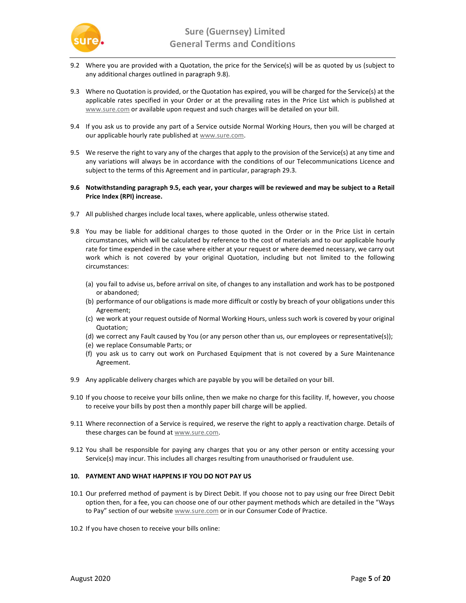

- 9.2 Where you are provided with a Quotation, the price for the Service(s) will be as quoted by us (subject to any additional charges outlined in paragraph 9.8).
- 9.3 Where no Quotation is provided, or the Quotation has expired, you will be charged for the Service(s) at the applicable rates specified in your Order or at the prevailing rates in the Price List which is published at www.sure.com or available upon request and such charges will be detailed on your bill.
- 9.4 If you ask us to provide any part of a Service outside Normal Working Hours, then you will be charged at our applicable hourly rate published at www.sure.com.
- 9.5 We reserve the right to vary any of the charges that apply to the provision of the Service(s) at any time and any variations will always be in accordance with the conditions of our Telecommunications Licence and subject to the terms of this Agreement and in particular, paragraph 29.3.
- 9.6 Notwithstanding paragraph 9.5, each year, your charges will be reviewed and may be subject to a Retail Price Index (RPI) increase.
- 9.7 All published charges include local taxes, where applicable, unless otherwise stated.
- 9.8 You may be liable for additional charges to those quoted in the Order or in the Price List in certain circumstances, which will be calculated by reference to the cost of materials and to our applicable hourly rate for time expended in the case where either at your request or where deemed necessary, we carry out work which is not covered by your original Quotation, including but not limited to the following circumstances:
	- (a) you fail to advise us, before arrival on site, of changes to any installation and work has to be postponed or abandoned;
	- (b) performance of our obligations is made more difficult or costly by breach of your obligations under this Agreement;
	- (c) we work at your request outside of Normal Working Hours, unless such work is covered by your original Quotation;
	- (d) we correct any Fault caused by You (or any person other than us, our employees or representative(s));
	- (e) we replace Consumable Parts; or
	- (f) you ask us to carry out work on Purchased Equipment that is not covered by a Sure Maintenance Agreement.
- 9.9 Any applicable delivery charges which are payable by you will be detailed on your bill.
- 9.10 If you choose to receive your bills online, then we make no charge for this facility. If, however, you choose to receive your bills by post then a monthly paper bill charge will be applied.
- 9.11 Where reconnection of a Service is required, we reserve the right to apply a reactivation charge. Details of these charges can be found at www.sure.com.
- 9.12 You shall be responsible for paying any charges that you or any other person or entity accessing your Service(s) may incur. This includes all charges resulting from unauthorised or fraudulent use.

# 10. PAYMENT AND WHAT HAPPENS IF YOU DO NOT PAY US

- 10.1 Our preferred method of payment is by Direct Debit. If you choose not to pay using our free Direct Debit option then, for a fee, you can choose one of our other payment methods which are detailed in the "Ways to Pay" section of our website **www.sure.com** or in our Consumer Code of Practice.
- 10.2 If you have chosen to receive your bills online: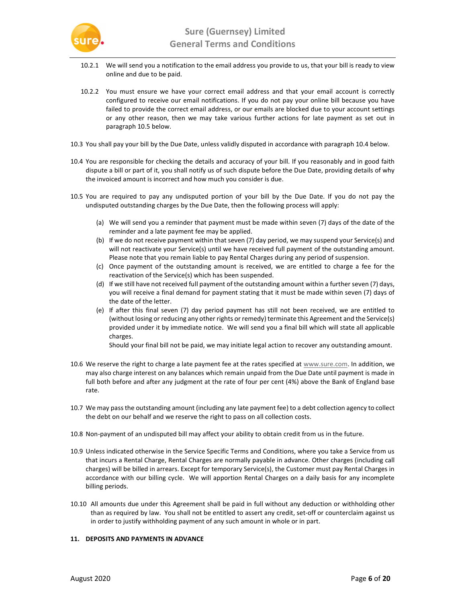

- 10.2.1 We will send you a notification to the email address you provide to us, that your bill is ready to view online and due to be paid.
- 10.2.2 You must ensure we have your correct email address and that your email account is correctly configured to receive our email notifications. If you do not pay your online bill because you have failed to provide the correct email address, or our emails are blocked due to your account settings or any other reason, then we may take various further actions for late payment as set out in paragraph 10.5 below.
- 10.3 You shall pay your bill by the Due Date, unless validly disputed in accordance with paragraph 10.4 below.
- 10.4 You are responsible for checking the details and accuracy of your bill. If you reasonably and in good faith dispute a bill or part of it, you shall notify us of such dispute before the Due Date, providing details of why the invoiced amount is incorrect and how much you consider is due.
- 10.5 You are required to pay any undisputed portion of your bill by the Due Date. If you do not pay the undisputed outstanding charges by the Due Date, then the following process will apply:
	- (a) We will send you a reminder that payment must be made within seven (7) days of the date of the reminder and a late payment fee may be applied.
	- (b) If we do not receive payment within that seven (7) day period, we may suspend your Service(s) and will not reactivate your Service(s) until we have received full payment of the outstanding amount. Please note that you remain liable to pay Rental Charges during any period of suspension.
	- (c) Once payment of the outstanding amount is received, we are entitled to charge a fee for the reactivation of the Service(s) which has been suspended.
	- (d) If we still have not received full payment of the outstanding amount within a further seven (7) days, you will receive a final demand for payment stating that it must be made within seven (7) days of the date of the letter.
	- (e) If after this final seven (7) day period payment has still not been received, we are entitled to (without losing or reducing any other rights or remedy) terminate this Agreement and the Service(s) provided under it by immediate notice. We will send you a final bill which will state all applicable charges.

Should your final bill not be paid, we may initiate legal action to recover any outstanding amount.

- 10.6 We reserve the right to charge a late payment fee at the rates specified at www.sure.com. In addition, we may also charge interest on any balances which remain unpaid from the Due Date until payment is made in full both before and after any judgment at the rate of four per cent (4%) above the Bank of England base rate.
- 10.7 We may pass the outstanding amount (including any late payment fee) to a debt collection agency to collect the debt on our behalf and we reserve the right to pass on all collection costs.
- 10.8 Non-payment of an undisputed bill may affect your ability to obtain credit from us in the future.
- 10.9 Unless indicated otherwise in the Service Specific Terms and Conditions, where you take a Service from us that incurs a Rental Charge, Rental Charges are normally payable in advance. Other charges (including call charges) will be billed in arrears. Except for temporary Service(s), the Customer must pay Rental Charges in accordance with our billing cycle. We will apportion Rental Charges on a daily basis for any incomplete billing periods.
- 10.10 All amounts due under this Agreement shall be paid in full without any deduction or withholding other than as required by law. You shall not be entitled to assert any credit, set-off or counterclaim against us in order to justify withholding payment of any such amount in whole or in part.

# 11. DEPOSITS AND PAYMENTS IN ADVANCE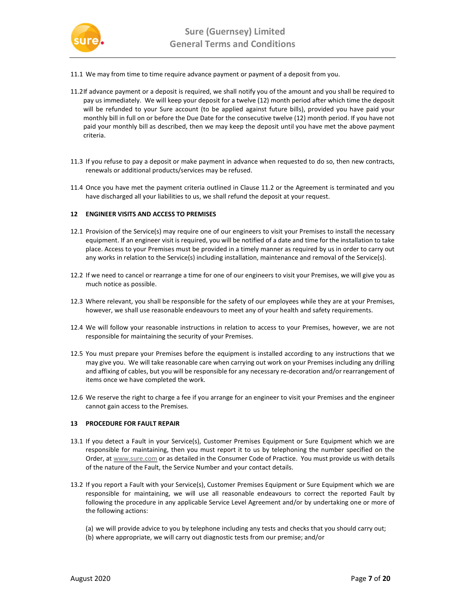

- 11.1 We may from time to time require advance payment or payment of a deposit from you.
- 11.2If advance payment or a deposit is required, we shall notify you of the amount and you shall be required to pay us immediately. We will keep your deposit for a twelve (12) month period after which time the deposit will be refunded to your Sure account (to be applied against future bills), provided you have paid your monthly bill in full on or before the Due Date for the consecutive twelve (12) month period. If you have not paid your monthly bill as described, then we may keep the deposit until you have met the above payment criteria.
- 11.3 If you refuse to pay a deposit or make payment in advance when requested to do so, then new contracts, renewals or additional products/services may be refused.
- 11.4 Once you have met the payment criteria outlined in Clause 11.2 or the Agreement is terminated and you have discharged all your liabilities to us, we shall refund the deposit at your request.

# 12 ENGINEER VISITS AND ACCESS TO PREMISES

- 12.1 Provision of the Service(s) may require one of our engineers to visit your Premises to install the necessary equipment. If an engineer visit is required, you will be notified of a date and time for the installation to take place. Access to your Premises must be provided in a timely manner as required by us in order to carry out any works in relation to the Service(s) including installation, maintenance and removal of the Service(s).
- 12.2 If we need to cancel or rearrange a time for one of our engineers to visit your Premises, we will give you as much notice as possible.
- 12.3 Where relevant, you shall be responsible for the safety of our employees while they are at your Premises, however, we shall use reasonable endeavours to meet any of your health and safety requirements.
- 12.4 We will follow your reasonable instructions in relation to access to your Premises, however, we are not responsible for maintaining the security of your Premises.
- 12.5 You must prepare your Premises before the equipment is installed according to any instructions that we may give you. We will take reasonable care when carrying out work on your Premises including any drilling and affixing of cables, but you will be responsible for any necessary re-decoration and/or rearrangement of items once we have completed the work.
- 12.6 We reserve the right to charge a fee if you arrange for an engineer to visit your Premises and the engineer cannot gain access to the Premises.

# 13 PROCEDURE FOR FAULT REPAIR

- 13.1 If you detect a Fault in your Service(s), Customer Premises Equipment or Sure Equipment which we are responsible for maintaining, then you must report it to us by telephoning the number specified on the Order, at www.sure.com or as detailed in the Consumer Code of Practice. You must provide us with details of the nature of the Fault, the Service Number and your contact details.
- 13.2 If you report a Fault with your Service(s), Customer Premises Equipment or Sure Equipment which we are responsible for maintaining, we will use all reasonable endeavours to correct the reported Fault by following the procedure in any applicable Service Level Agreement and/or by undertaking one or more of the following actions:
	- (a) we will provide advice to you by telephone including any tests and checks that you should carry out;
	- (b) where appropriate, we will carry out diagnostic tests from our premise; and/or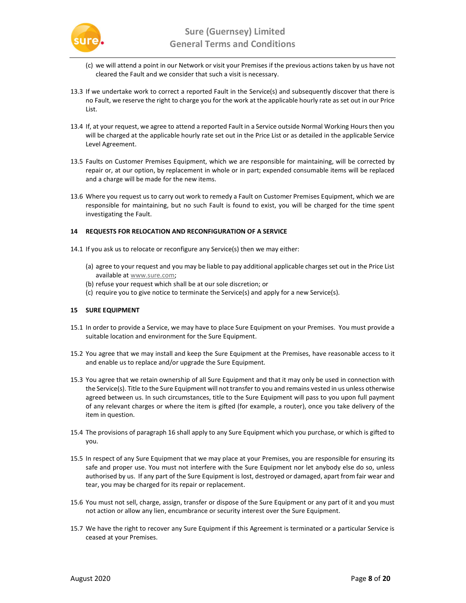

- (c) we will attend a point in our Network or visit your Premises if the previous actions taken by us have not cleared the Fault and we consider that such a visit is necessary.
- 13.3 If we undertake work to correct a reported Fault in the Service(s) and subsequently discover that there is no Fault, we reserve the right to charge you for the work at the applicable hourly rate as set out in our Price List.
- 13.4 If, at your request, we agree to attend a reported Fault in a Service outside Normal Working Hours then you will be charged at the applicable hourly rate set out in the Price List or as detailed in the applicable Service Level Agreement.
- 13.5 Faults on Customer Premises Equipment, which we are responsible for maintaining, will be corrected by repair or, at our option, by replacement in whole or in part; expended consumable items will be replaced and a charge will be made for the new items.
- 13.6 Where you request us to carry out work to remedy a Fault on Customer Premises Equipment, which we are responsible for maintaining, but no such Fault is found to exist, you will be charged for the time spent investigating the Fault.

# 14 REQUESTS FOR RELOCATION AND RECONFIGURATION OF A SERVICE

- 14.1 If you ask us to relocate or reconfigure any Service(s) then we may either:
	- (a) agree to your request and you may be liable to pay additional applicable charges set out in the Price List available at www.sure.com;
	- (b) refuse your request which shall be at our sole discretion; or
	- (c) require you to give notice to terminate the Service(s) and apply for a new Service(s).

# 15 SURE EQUIPMENT

- 15.1 In order to provide a Service, we may have to place Sure Equipment on your Premises. You must provide a suitable location and environment for the Sure Equipment.
- 15.2 You agree that we may install and keep the Sure Equipment at the Premises, have reasonable access to it and enable us to replace and/or upgrade the Sure Equipment.
- 15.3 You agree that we retain ownership of all Sure Equipment and that it may only be used in connection with the Service(s). Title to the Sure Equipment will not transfer to you and remains vested in us unless otherwise agreed between us. In such circumstances, title to the Sure Equipment will pass to you upon full payment of any relevant charges or where the item is gifted (for example, a router), once you take delivery of the item in question.
- 15.4 The provisions of paragraph 16 shall apply to any Sure Equipment which you purchase, or which is gifted to you.
- 15.5 In respect of any Sure Equipment that we may place at your Premises, you are responsible for ensuring its safe and proper use. You must not interfere with the Sure Equipment nor let anybody else do so, unless authorised by us. If any part of the Sure Equipment is lost, destroyed or damaged, apart from fair wear and tear, you may be charged for its repair or replacement.
- 15.6 You must not sell, charge, assign, transfer or dispose of the Sure Equipment or any part of it and you must not action or allow any lien, encumbrance or security interest over the Sure Equipment.
- 15.7 We have the right to recover any Sure Equipment if this Agreement is terminated or a particular Service is ceased at your Premises.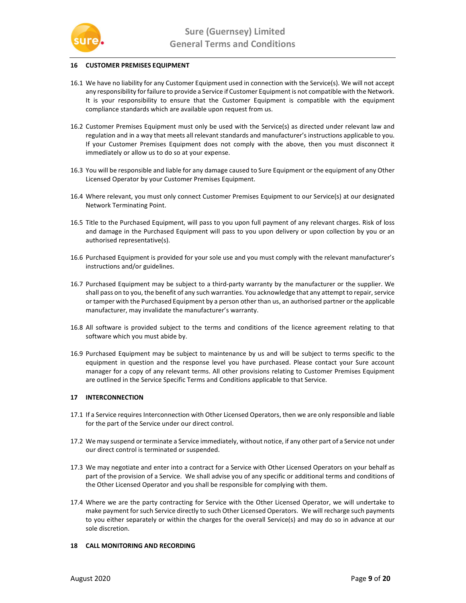

# 16 CUSTOMER PREMISES EQUIPMENT

- 16.1 We have no liability for any Customer Equipment used in connection with the Service(s). We will not accept any responsibility for failure to provide a Service if Customer Equipment is not compatible with the Network. It is your responsibility to ensure that the Customer Equipment is compatible with the equipment compliance standards which are available upon request from us.
- 16.2 Customer Premises Equipment must only be used with the Service(s) as directed under relevant law and regulation and in a way that meets all relevant standards and manufacturer's instructions applicable to you. If your Customer Premises Equipment does not comply with the above, then you must disconnect it immediately or allow us to do so at your expense.
- 16.3 You will be responsible and liable for any damage caused to Sure Equipment or the equipment of any Other Licensed Operator by your Customer Premises Equipment.
- 16.4 Where relevant, you must only connect Customer Premises Equipment to our Service(s) at our designated Network Terminating Point.
- 16.5 Title to the Purchased Equipment, will pass to you upon full payment of any relevant charges. Risk of loss and damage in the Purchased Equipment will pass to you upon delivery or upon collection by you or an authorised representative(s).
- 16.6 Purchased Equipment is provided for your sole use and you must comply with the relevant manufacturer's instructions and/or guidelines.
- 16.7 Purchased Equipment may be subject to a third-party warranty by the manufacturer or the supplier. We shall pass on to you, the benefit of any such warranties. You acknowledge that any attempt to repair, service or tamper with the Purchased Equipment by a person other than us, an authorised partner or the applicable manufacturer, may invalidate the manufacturer's warranty.
- 16.8 All software is provided subject to the terms and conditions of the licence agreement relating to that software which you must abide by.
- 16.9 Purchased Equipment may be subject to maintenance by us and will be subject to terms specific to the equipment in question and the response level you have purchased. Please contact your Sure account manager for a copy of any relevant terms. All other provisions relating to Customer Premises Equipment are outlined in the Service Specific Terms and Conditions applicable to that Service.

#### 17 INTERCONNECTION

- 17.1 If a Service requires Interconnection with Other Licensed Operators, then we are only responsible and liable for the part of the Service under our direct control.
- 17.2 We may suspend or terminate a Service immediately, without notice, if any other part of a Service not under our direct control is terminated or suspended.
- 17.3 We may negotiate and enter into a contract for a Service with Other Licensed Operators on your behalf as part of the provision of a Service. We shall advise you of any specific or additional terms and conditions of the Other Licensed Operator and you shall be responsible for complying with them.
- 17.4 Where we are the party contracting for Service with the Other Licensed Operator, we will undertake to make payment for such Service directly to such Other Licensed Operators. We will recharge such payments to you either separately or within the charges for the overall Service(s) and may do so in advance at our sole discretion.

#### 18 CALL MONITORING AND RECORDING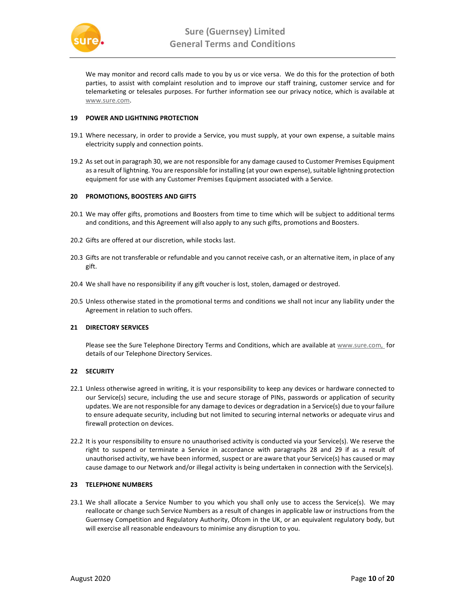

We may monitor and record calls made to you by us or vice versa. We do this for the protection of both parties, to assist with complaint resolution and to improve our staff training, customer service and for telemarketing or telesales purposes. For further information see our privacy notice, which is available at www.sure.com.

## 19 POWER AND LIGHTNING PROTECTION

- 19.1 Where necessary, in order to provide a Service, you must supply, at your own expense, a suitable mains electricity supply and connection points.
- 19.2 As set out in paragraph 30, we are not responsible for any damage caused to Customer Premises Equipment as a result of lightning. You are responsible for installing (at your own expense), suitable lightning protection equipment for use with any Customer Premises Equipment associated with a Service.

## 20 PROMOTIONS, BOOSTERS AND GIFTS

- 20.1 We may offer gifts, promotions and Boosters from time to time which will be subject to additional terms and conditions, and this Agreement will also apply to any such gifts, promotions and Boosters.
- 20.2 Gifts are offered at our discretion, while stocks last.
- 20.3 Gifts are not transferable or refundable and you cannot receive cash, or an alternative item, in place of any gift.
- 20.4 We shall have no responsibility if any gift voucher is lost, stolen, damaged or destroyed.
- 20.5 Unless otherwise stated in the promotional terms and conditions we shall not incur any liability under the Agreement in relation to such offers.

# 21 DIRECTORY SERVICES

Please see the Sure Telephone Directory Terms and Conditions, which are available at www.sure.com, for details of our Telephone Directory Services.

# 22 SECURITY

- 22.1 Unless otherwise agreed in writing, it is your responsibility to keep any devices or hardware connected to our Service(s) secure, including the use and secure storage of PINs, passwords or application of security updates. We are not responsible for any damage to devices or degradation in a Service(s) due to your failure to ensure adequate security, including but not limited to securing internal networks or adequate virus and firewall protection on devices.
- 22.2 It is your responsibility to ensure no unauthorised activity is conducted via your Service(s). We reserve the right to suspend or terminate a Service in accordance with paragraphs 28 and 29 if as a result of unauthorised activity, we have been informed, suspect or are aware that your Service(s) has caused or may cause damage to our Network and/or illegal activity is being undertaken in connection with the Service(s).

## 23 TELEPHONE NUMBERS

23.1 We shall allocate a Service Number to you which you shall only use to access the Service(s). We may reallocate or change such Service Numbers as a result of changes in applicable law or instructions from the Guernsey Competition and Regulatory Authority, Ofcom in the UK, or an equivalent regulatory body, but will exercise all reasonable endeavours to minimise any disruption to you.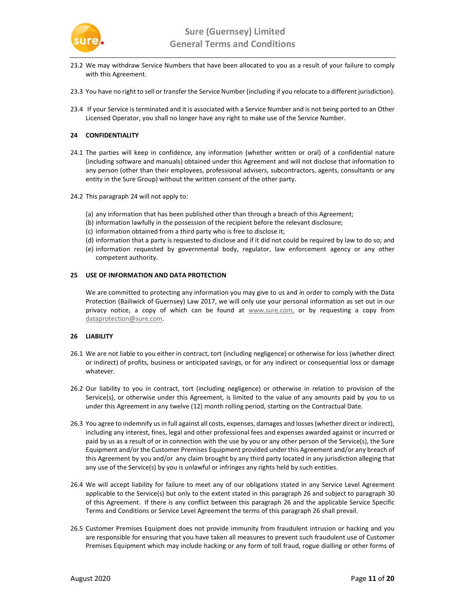

- 23.2 We may withdraw Service Numbers that have been allocated to you as a result of your failure to comply with this Agreement.
- 23.3 You have no right to sell or transfer the Service Number (including if you relocate to a different jurisdiction).
- 23.4 If your Service is terminated and it is associated with a Service Number and is not being ported to an Other Licensed Operator, you shall no longer have any right to make use of the Service Number.

## 24 CONFIDENTIALITY

- 24.1 The parties will keep in confidence, any information (whether written or oral) of a confidential nature (including software and manuals) obtained under this Agreement and will not disclose that information to any person (other than their employees, professional advisers, subcontractors, agents, consultants or any entity in the Sure Group) without the written consent of the other party.
- 24.2 This paragraph 24 will not apply to:
	- (a) any information that has been published other than through a breach of this Agreement;
	- (b) information lawfully in the possession of the recipient before the relevant disclosure;
	- (c) information obtained from a third party who is free to disclose it;
	- (d) information that a party is requested to disclose and if it did not could be required by law to do so; and
	- (e) information requested by governmental body, regulator, law enforcement agency or any other competent authority.

#### 25 USE OF INFORMATION AND DATA PROTECTION

We are committed to protecting any information you may give to us and in order to comply with the Data Protection (Bailiwick of Guernsey) Law 2017, we will only use your personal information as set out in our privacy notice, a copy of which can be found at **www.sure.com**, or by requesting a copy from dataprotection@sure.com.

#### 26 LIABILITY

- 26.1 We are not liable to you either in contract, tort (including negligence) or otherwise for loss (whether direct or indirect) of profits, business or anticipated savings, or for any indirect or consequential loss or damage whatever.
- 26.2 Our liability to you in contract, tort (including negligence) or otherwise in relation to provision of the Service(s), or otherwise under this Agreement, is limited to the value of any amounts paid by you to us under this Agreement in any twelve (12) month rolling period, starting on the Contractual Date.
- 26.3 You agree to indemnify us in full against all costs, expenses, damages and losses (whether direct or indirect), including any interest, fines, legal and other professional fees and expenses awarded against or incurred or paid by us as a result of or in connection with the use by you or any other person of the Service(s), the Sure Equipment and/or the Customer Premises Equipment provided under this Agreement and/or any breach of this Agreement by you and/or any claim brought by any third party located in any jurisdiction alleging that any use of the Service(s) by you is unlawful or infringes any rights held by such entities.
- 26.4 We will accept liability for failure to meet any of our obligations stated in any Service Level Agreement applicable to the Service(s) but only to the extent stated in this paragraph 26 and subject to paragraph 30 of this Agreement. If there is any conflict between this paragraph 26 and the applicable Service Specific Terms and Conditions or Service Level Agreement the terms of this paragraph 26 shall prevail.
- 26.5 Customer Premises Equipment does not provide immunity from fraudulent intrusion or hacking and you are responsible for ensuring that you have taken all measures to prevent such fraudulent use of Customer Premises Equipment which may include hacking or any form of toll fraud, rogue dialling or other forms of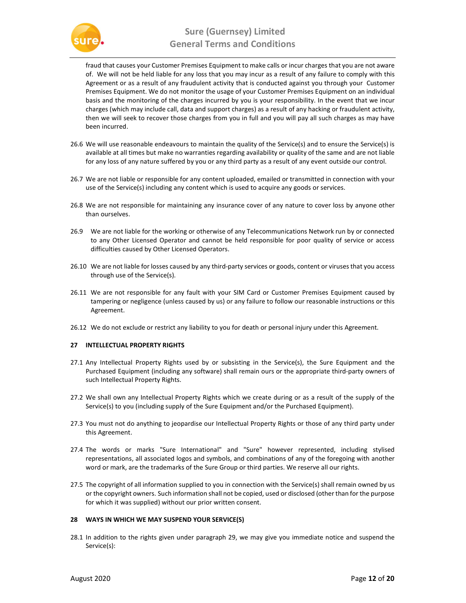

fraud that causes your Customer Premises Equipment to make calls or incur charges that you are not aware of. We will not be held liable for any loss that you may incur as a result of any failure to comply with this Agreement or as a result of any fraudulent activity that is conducted against you through your Customer Premises Equipment. We do not monitor the usage of your Customer Premises Equipment on an individual basis and the monitoring of the charges incurred by you is your responsibility. In the event that we incur charges (which may include call, data and support charges) as a result of any hacking or fraudulent activity, then we will seek to recover those charges from you in full and you will pay all such charges as may have been incurred.

- 26.6 We will use reasonable endeavours to maintain the quality of the Service(s) and to ensure the Service(s) is available at all times but make no warranties regarding availability or quality of the same and are not liable for any loss of any nature suffered by you or any third party as a result of any event outside our control.
- 26.7 We are not liable or responsible for any content uploaded, emailed or transmitted in connection with your use of the Service(s) including any content which is used to acquire any goods or services.
- 26.8 We are not responsible for maintaining any insurance cover of any nature to cover loss by anyone other than ourselves.
- 26.9 We are not liable for the working or otherwise of any Telecommunications Network run by or connected to any Other Licensed Operator and cannot be held responsible for poor quality of service or access difficulties caused by Other Licensed Operators.
- 26.10 We are not liable for losses caused by any third-party services or goods, content or viruses that you access through use of the Service(s).
- 26.11 We are not responsible for any fault with your SIM Card or Customer Premises Equipment caused by tampering or negligence (unless caused by us) or any failure to follow our reasonable instructions or this Agreement.
- 26.12 We do not exclude or restrict any liability to you for death or personal injury under this Agreement.

# 27 INTELLECTUAL PROPERTY RIGHTS

- 27.1 Any Intellectual Property Rights used by or subsisting in the Service(s), the Sure Equipment and the Purchased Equipment (including any software) shall remain ours or the appropriate third-party owners of such Intellectual Property Rights.
- 27.2 We shall own any Intellectual Property Rights which we create during or as a result of the supply of the Service(s) to you (including supply of the Sure Equipment and/or the Purchased Equipment).
- 27.3 You must not do anything to jeopardise our Intellectual Property Rights or those of any third party under this Agreement.
- 27.4 The words or marks "Sure International" and "Sure" however represented, including stylised representations, all associated logos and symbols, and combinations of any of the foregoing with another word or mark, are the trademarks of the Sure Group or third parties. We reserve all our rights.
- 27.5 The copyright of all information supplied to you in connection with the Service(s) shall remain owned by us or the copyright owners. Such information shall not be copied, used or disclosed (other than for the purpose for which it was supplied) without our prior written consent.

#### 28 WAYS IN WHICH WE MAY SUSPEND YOUR SERVICE(S)

28.1 In addition to the rights given under paragraph 29, we may give you immediate notice and suspend the Service(s):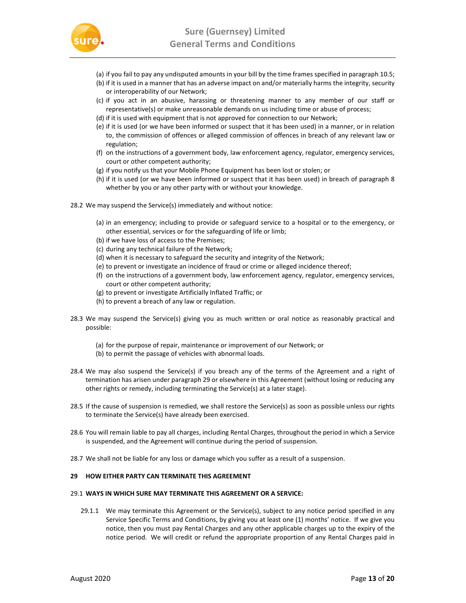

- (a) if you fail to pay any undisputed amounts in your bill by the time frames specified in paragraph 10.5;
- (b) if it is used in a manner that has an adverse impact on and/or materially harms the integrity, security or interoperability of our Network;
- (c) if you act in an abusive, harassing or threatening manner to any member of our staff or representative(s) or make unreasonable demands on us including time or abuse of process;
- (d) if it is used with equipment that is not approved for connection to our Network;
- (e) if it is used (or we have been informed or suspect that it has been used) in a manner, or in relation to, the commission of offences or alleged commission of offences in breach of any relevant law or regulation;
- (f) on the instructions of a government body, law enforcement agency, regulator, emergency services, court or other competent authority;
- (g) if you notify us that your Mobile Phone Equipment has been lost or stolen; or
- (h) if it is used (or we have been informed or suspect that it has been used) in breach of paragraph 8 whether by you or any other party with or without your knowledge.
- 28.2 We may suspend the Service(s) immediately and without notice:
	- (a) in an emergency; including to provide or safeguard service to a hospital or to the emergency, or other essential, services or for the safeguarding of life or limb;
	- (b) if we have loss of access to the Premises;
	- (c) during any technical failure of the Network;
	- (d) when it is necessary to safeguard the security and integrity of the Network;
	- (e) to prevent or investigate an incidence of fraud or crime or alleged incidence thereof;
	- (f) on the instructions of a government body, law enforcement agency, regulator, emergency services, court or other competent authority;
	- (g) to prevent or investigate Artificially Inflated Traffic; or
	- (h) to prevent a breach of any law or regulation.
- 28.3 We may suspend the Service(s) giving you as much written or oral notice as reasonably practical and possible:
	- (a) for the purpose of repair, maintenance or improvement of our Network; or
	- (b) to permit the passage of vehicles with abnormal loads.
- 28.4 We may also suspend the Service(s) if you breach any of the terms of the Agreement and a right of termination has arisen under paragraph 29 or elsewhere in this Agreement (without losing or reducing any other rights or remedy, including terminating the Service(s) at a later stage).
- 28.5 If the cause of suspension is remedied, we shall restore the Service(s) as soon as possible unless our rights to terminate the Service(s) have already been exercised.
- 28.6 You will remain liable to pay all charges, including Rental Charges, throughout the period in which a Service is suspended, and the Agreement will continue during the period of suspension.
- 28.7 We shall not be liable for any loss or damage which you suffer as a result of a suspension.

## 29 HOW EITHER PARTY CAN TERMINATE THIS AGREEMENT

## 29.1 WAYS IN WHICH SURE MAY TERMINATE THIS AGREEMENT OR A SERVICE:

29.1.1 We may terminate this Agreement or the Service(s), subject to any notice period specified in any Service Specific Terms and Conditions, by giving you at least one (1) months' notice. If we give you notice, then you must pay Rental Charges and any other applicable charges up to the expiry of the notice period. We will credit or refund the appropriate proportion of any Rental Charges paid in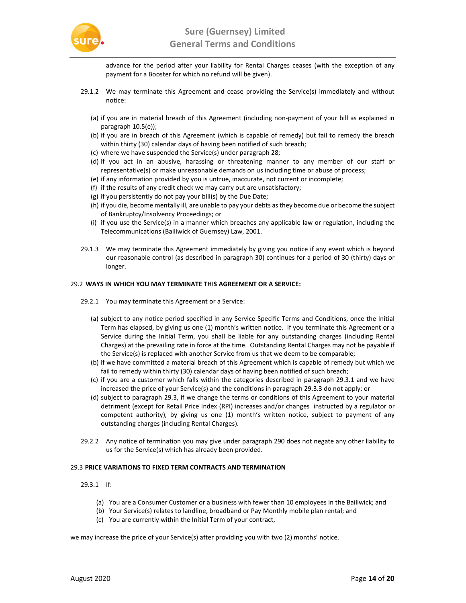

advance for the period after your liability for Rental Charges ceases (with the exception of any payment for a Booster for which no refund will be given).

- 29.1.2 We may terminate this Agreement and cease providing the Service(s) immediately and without notice:
	- (a) if you are in material breach of this Agreement (including non-payment of your bill as explained in paragraph 10.5(e));
	- (b) if you are in breach of this Agreement (which is capable of remedy) but fail to remedy the breach within thirty (30) calendar days of having been notified of such breach;
	- (c) where we have suspended the Service(s) under paragraph 28;
	- (d) if you act in an abusive, harassing or threatening manner to any member of our staff or representative(s) or make unreasonable demands on us including time or abuse of process;
	- (e) if any information provided by you is untrue, inaccurate, not current or incomplete;
	- (f) if the results of any credit check we may carry out are unsatisfactory;
	- (g) if you persistently do not pay your bill(s) by the Due Date;
	- (h) if you die, become mentally ill, are unable to pay your debts as they become due or become the subject of Bankruptcy/Insolvency Proceedings; or
	- (i) if you use the Service(s) in a manner which breaches any applicable law or regulation, including the Telecommunications (Bailiwick of Guernsey) Law, 2001.
- 29.1.3 We may terminate this Agreement immediately by giving you notice if any event which is beyond our reasonable control (as described in paragraph 30) continues for a period of 30 (thirty) days or longer.

#### 29.2 WAYS IN WHICH YOU MAY TERMINATE THIS AGREEMENT OR A SERVICE:

- 29.2.1 You may terminate this Agreement or a Service:
	- (a) subject to any notice period specified in any Service Specific Terms and Conditions, once the Initial Term has elapsed, by giving us one (1) month's written notice. If you terminate this Agreement or a Service during the Initial Term, you shall be liable for any outstanding charges (including Rental Charges) at the prevailing rate in force at the time. Outstanding Rental Charges may not be payable if the Service(s) is replaced with another Service from us that we deem to be comparable;
	- (b) if we have committed a material breach of this Agreement which is capable of remedy but which we fail to remedy within thirty (30) calendar days of having been notified of such breach;
	- (c) if you are a customer which falls within the categories described in paragraph 29.3.1 and we have increased the price of your Service(s) and the conditions in paragraph 29.3.3 do not apply; or
	- (d) subject to paragraph 29.3, if we change the terms or conditions of this Agreement to your material detriment (except for Retail Price Index (RPI) increases and/or changes instructed by a regulator or competent authority), by giving us one (1) month's written notice, subject to payment of any outstanding charges (including Rental Charges).
- 29.2.2 Any notice of termination you may give under paragraph 290 does not negate any other liability to us for the Service(s) which has already been provided.

## 29.3 PRICE VARIATIONS TO FIXED TERM CONTRACTS AND TERMINATION

- 29.3.1 If:
	- (a) You are a Consumer Customer or a business with fewer than 10 employees in the Bailiwick; and
	- (b) Your Service(s) relates to landline, broadband or Pay Monthly mobile plan rental; and
	- (c) You are currently within the Initial Term of your contract,

we may increase the price of your Service(s) after providing you with two (2) months' notice.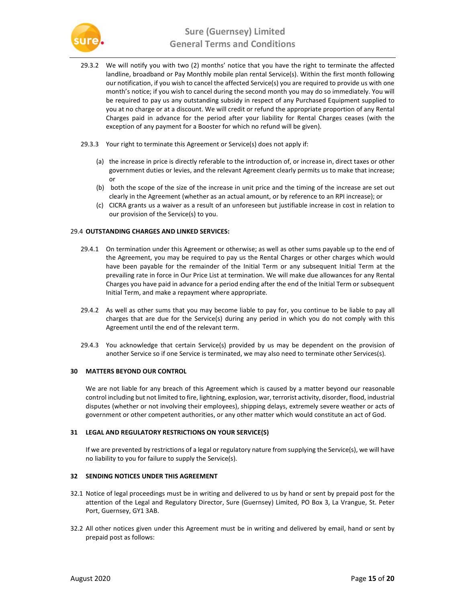

- 29.3.2 We will notify you with two (2) months' notice that you have the right to terminate the affected landline, broadband or Pay Monthly mobile plan rental Service(s). Within the first month following our notification, if you wish to cancel the affected Service(s) you are required to provide us with one month's notice; if you wish to cancel during the second month you may do so immediately. You will be required to pay us any outstanding subsidy in respect of any Purchased Equipment supplied to you at no charge or at a discount. We will credit or refund the appropriate proportion of any Rental Charges paid in advance for the period after your liability for Rental Charges ceases (with the exception of any payment for a Booster for which no refund will be given).
- 29.3.3 Your right to terminate this Agreement or Service(s) does not apply if:
	- (a) the increase in price is directly referable to the introduction of, or increase in, direct taxes or other government duties or levies, and the relevant Agreement clearly permits us to make that increase; or
	- (b) both the scope of the size of the increase in unit price and the timing of the increase are set out clearly in the Agreement (whether as an actual amount, or by reference to an RPI increase); or
	- (c) CICRA grants us a waiver as a result of an unforeseen but justifiable increase in cost in relation to our provision of the Service(s) to you.

## 29.4 OUTSTANDING CHARGES AND LINKED SERVICES:

- 29.4.1 On termination under this Agreement or otherwise; as well as other sums payable up to the end of the Agreement, you may be required to pay us the Rental Charges or other charges which would have been payable for the remainder of the Initial Term or any subsequent Initial Term at the prevailing rate in force in Our Price List at termination. We will make due allowances for any Rental Charges you have paid in advance for a period ending after the end of the Initial Term or subsequent Initial Term, and make a repayment where appropriate.
- 29.4.2 As well as other sums that you may become liable to pay for, you continue to be liable to pay all charges that are due for the Service(s) during any period in which you do not comply with this Agreement until the end of the relevant term.
- 29.4.3 You acknowledge that certain Service(s) provided by us may be dependent on the provision of another Service so if one Service is terminated, we may also need to terminate other Services(s).

#### 30 MATTERS BEYOND OUR CONTROL

We are not liable for any breach of this Agreement which is caused by a matter beyond our reasonable control including but not limited to fire, lightning, explosion, war, terrorist activity, disorder, flood, industrial disputes (whether or not involving their employees), shipping delays, extremely severe weather or acts of government or other competent authorities, or any other matter which would constitute an act of God.

#### 31 LEGAL AND REGULATORY RESTRICTIONS ON YOUR SERVICE(S)

If we are prevented by restrictions of a legal or regulatory nature from supplying the Service(s), we will have no liability to you for failure to supply the Service(s).

#### 32 SENDING NOTICES UNDER THIS AGREEMENT

- 32.1 Notice of legal proceedings must be in writing and delivered to us by hand or sent by prepaid post for the attention of the Legal and Regulatory Director, Sure (Guernsey) Limited, PO Box 3, La Vrangue, St. Peter Port, Guernsey, GY1 3AB.
- 32.2 All other notices given under this Agreement must be in writing and delivered by email, hand or sent by prepaid post as follows: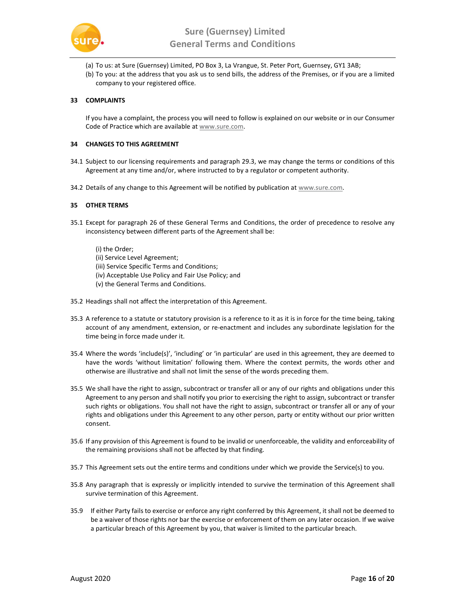

- (a) To us: at Sure (Guernsey) Limited, PO Box 3, La Vrangue, St. Peter Port, Guernsey, GY1 3AB;
- (b) To you: at the address that you ask us to send bills, the address of the Premises, or if you are a limited company to your registered office.

# 33 COMPLAINTS

If you have a complaint, the process you will need to follow is explained on our website or in our Consumer Code of Practice which are available at www.sure.com.

## 34 CHANGES TO THIS AGREEMENT

- 34.1 Subject to our licensing requirements and paragraph 29.3, we may change the terms or conditions of this Agreement at any time and/or, where instructed to by a regulator or competent authority.
- 34.2 Details of any change to this Agreement will be notified by publication at www.sure.com.

## 35 OTHER TERMS

- 35.1 Except for paragraph 26 of these General Terms and Conditions, the order of precedence to resolve any inconsistency between different parts of the Agreement shall be:
	- (i) the Order;
	- (ii) Service Level Agreement;
	- (iii) Service Specific Terms and Conditions;
	- (iv) Acceptable Use Policy and Fair Use Policy; and
	- (v) the General Terms and Conditions.
- 35.2 Headings shall not affect the interpretation of this Agreement.
- 35.3 A reference to a statute or statutory provision is a reference to it as it is in force for the time being, taking account of any amendment, extension, or re-enactment and includes any subordinate legislation for the time being in force made under it.
- 35.4 Where the words 'include(s)', 'including' or 'in particular' are used in this agreement, they are deemed to have the words 'without limitation' following them. Where the context permits, the words other and otherwise are illustrative and shall not limit the sense of the words preceding them.
- 35.5 We shall have the right to assign, subcontract or transfer all or any of our rights and obligations under this Agreement to any person and shall notify you prior to exercising the right to assign, subcontract or transfer such rights or obligations. You shall not have the right to assign, subcontract or transfer all or any of your rights and obligations under this Agreement to any other person, party or entity without our prior written consent.
- 35.6 If any provision of this Agreement is found to be invalid or unenforceable, the validity and enforceability of the remaining provisions shall not be affected by that finding.
- 35.7 This Agreement sets out the entire terms and conditions under which we provide the Service(s) to you.
- 35.8 Any paragraph that is expressly or implicitly intended to survive the termination of this Agreement shall survive termination of this Agreement.
- 35.9 If either Party fails to exercise or enforce any right conferred by this Agreement, it shall not be deemed to be a waiver of those rights nor bar the exercise or enforcement of them on any later occasion. If we waive a particular breach of this Agreement by you, that waiver is limited to the particular breach.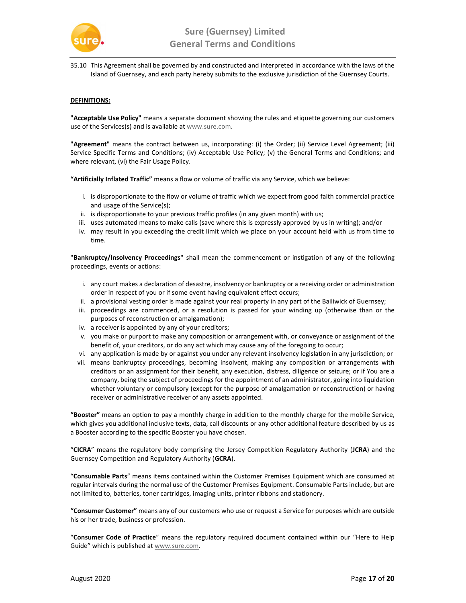

35.10 This Agreement shall be governed by and constructed and interpreted in accordance with the laws of the Island of Guernsey, and each party hereby submits to the exclusive jurisdiction of the Guernsey Courts.

# DEFINITIONS:

"Acceptable Use Policy" means a separate document showing the rules and etiquette governing our customers use of the Services(s) and is available at www.sure.com.

"Agreement" means the contract between us, incorporating: (i) the Order; (ii) Service Level Agreement; (iii) Service Specific Terms and Conditions; (iv) Acceptable Use Policy; (v) the General Terms and Conditions; and where relevant, (vi) the Fair Usage Policy.

"Artificially Inflated Traffic" means a flow or volume of traffic via any Service, which we believe:

- i. is disproportionate to the flow or volume of traffic which we expect from good faith commercial practice and usage of the Service(s);
- ii. is disproportionate to your previous traffic profiles (in any given month) with us;
- iii. uses automated means to make calls (save where this is expressly approved by us in writing); and/or
- iv. may result in you exceeding the credit limit which we place on your account held with us from time to time.

"Bankruptcy/Insolvency Proceedings" shall mean the commencement or instigation of any of the following proceedings, events or actions:

- i. any court makes a declaration of desastre, insolvency or bankruptcy or a receiving order or administration order in respect of you or if some event having equivalent effect occurs;
- ii. a provisional vesting order is made against your real property in any part of the Bailiwick of Guernsey;
- iii. proceedings are commenced, or a resolution is passed for your winding up (otherwise than or the purposes of reconstruction or amalgamation);
- iv. a receiver is appointed by any of your creditors;
- v. you make or purport to make any composition or arrangement with, or conveyance or assignment of the benefit of, your creditors, or do any act which may cause any of the foregoing to occur;
- vi. any application is made by or against you under any relevant insolvency legislation in any jurisdiction; or
- vii. means bankruptcy proceedings, becoming insolvent, making any composition or arrangements with creditors or an assignment for their benefit, any execution, distress, diligence or seizure; or if You are a company, being the subject of proceedings for the appointment of an administrator, going into liquidation whether voluntary or compulsory (except for the purpose of amalgamation or reconstruction) or having receiver or administrative receiver of any assets appointed.

"Booster" means an option to pay a monthly charge in addition to the monthly charge for the mobile Service, which gives you additional inclusive texts, data, call discounts or any other additional feature described by us as a Booster according to the specific Booster you have chosen.

"CICRA" means the regulatory body comprising the Jersey Competition Regulatory Authority (JCRA) and the Guernsey Competition and Regulatory Authority (GCRA).

"Consumable Parts" means items contained within the Customer Premises Equipment which are consumed at regular intervals during the normal use of the Customer Premises Equipment. Consumable Parts include, but are not limited to, batteries, toner cartridges, imaging units, printer ribbons and stationery.

"Consumer Customer" means any of our customers who use or request a Service for purposes which are outside his or her trade, business or profession.

"Consumer Code of Practice" means the regulatory required document contained within our "Here to Help Guide" which is published at www.sure.com.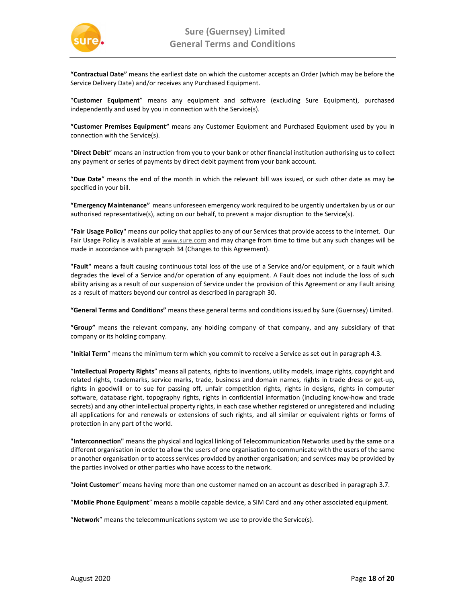

"Contractual Date" means the earliest date on which the customer accepts an Order (which may be before the Service Delivery Date) and/or receives any Purchased Equipment.

"Customer Equipment" means any equipment and software (excluding Sure Equipment), purchased independently and used by you in connection with the Service(s).

"Customer Premises Equipment" means any Customer Equipment and Purchased Equipment used by you in connection with the Service(s).

"Direct Debit" means an instruction from you to your bank or other financial institution authorising us to collect any payment or series of payments by direct debit payment from your bank account.

"Due Date" means the end of the month in which the relevant bill was issued, or such other date as may be specified in your bill.

"Emergency Maintenance" means unforeseen emergency work required to be urgently undertaken by us or our authorised representative(s), acting on our behalf, to prevent a major disruption to the Service(s).

"Fair Usage Policy" means our policy that applies to any of our Services that provide access to the Internet. Our Fair Usage Policy is available at www.sure.com and may change from time to time but any such changes will be made in accordance with paragraph 34 (Changes to this Agreement).

"Fault" means a fault causing continuous total loss of the use of a Service and/or equipment, or a fault which degrades the level of a Service and/or operation of any equipment. A Fault does not include the loss of such ability arising as a result of our suspension of Service under the provision of this Agreement or any Fault arising as a result of matters beyond our control as described in paragraph 30.

"General Terms and Conditions" means these general terms and conditions issued by Sure (Guernsey) Limited.

"Group" means the relevant company, any holding company of that company, and any subsidiary of that company or its holding company.

"Initial Term" means the minimum term which you commit to receive a Service as set out in paragraph 4.3.

"Intellectual Property Rights" means all patents, rights to inventions, utility models, image rights, copyright and related rights, trademarks, service marks, trade, business and domain names, rights in trade dress or get-up, rights in goodwill or to sue for passing off, unfair competition rights, rights in designs, rights in computer software, database right, topography rights, rights in confidential information (including know-how and trade secrets) and any other intellectual property rights, in each case whether registered or unregistered and including all applications for and renewals or extensions of such rights, and all similar or equivalent rights or forms of protection in any part of the world.

"Interconnection" means the physical and logical linking of Telecommunication Networks used by the same or a different organisation in order to allow the users of one organisation to communicate with the users of the same or another organisation or to access services provided by another organisation; and services may be provided by the parties involved or other parties who have access to the network.

"Joint Customer" means having more than one customer named on an account as described in paragraph 3.7.

"Mobile Phone Equipment" means a mobile capable device, a SIM Card and any other associated equipment.

"Network" means the telecommunications system we use to provide the Service(s).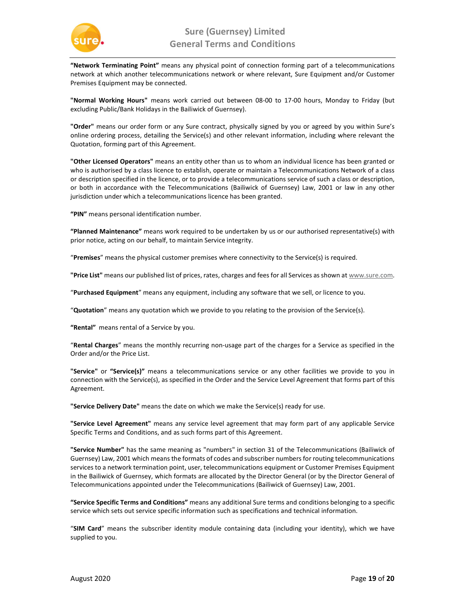

"Network Terminating Point" means any physical point of connection forming part of a telecommunications network at which another telecommunications network or where relevant, Sure Equipment and/or Customer Premises Equipment may be connected.

"Normal Working Hours" means work carried out between 08-00 to 17-00 hours, Monday to Friday (but excluding Public/Bank Holidays in the Bailiwick of Guernsey).

"Order" means our order form or any Sure contract, physically signed by you or agreed by you within Sure's online ordering process, detailing the Service(s) and other relevant information, including where relevant the Quotation, forming part of this Agreement.

"Other Licensed Operators" means an entity other than us to whom an individual licence has been granted or who is authorised by a class licence to establish, operate or maintain a Telecommunications Network of a class or description specified in the licence, or to provide a telecommunications service of such a class or description, or both in accordance with the Telecommunications (Bailiwick of Guernsey) Law, 2001 or law in any other jurisdiction under which a telecommunications licence has been granted.

"PIN" means personal identification number.

"Planned Maintenance" means work required to be undertaken by us or our authorised representative(s) with prior notice, acting on our behalf, to maintain Service integrity.

"Premises" means the physical customer premises where connectivity to the Service(s) is required.

"Price List" means our published list of prices, rates, charges and fees for all Services as shown at www.sure.com.

"Purchased Equipment" means any equipment, including any software that we sell, or licence to you.

"Quotation" means any quotation which we provide to you relating to the provision of the Service(s).

"Rental" means rental of a Service by you.

"Rental Charges" means the monthly recurring non-usage part of the charges for a Service as specified in the Order and/or the Price List.

"Service" or "Service(s)" means a telecommunications service or any other facilities we provide to you in connection with the Service(s), as specified in the Order and the Service Level Agreement that forms part of this Agreement.

"Service Delivery Date" means the date on which we make the Service(s) ready for use.

"Service Level Agreement" means any service level agreement that may form part of any applicable Service Specific Terms and Conditions, and as such forms part of this Agreement.

"Service Number" has the same meaning as "numbers" in section 31 of the Telecommunications (Bailiwick of Guernsey) Law, 2001 which means the formats of codes and subscriber numbers for routing telecommunications services to a network termination point, user, telecommunications equipment or Customer Premises Equipment in the Bailiwick of Guernsey, which formats are allocated by the Director General (or by the Director General of Telecommunications appointed under the Telecommunications (Bailiwick of Guernsey) Law, 2001.

"Service Specific Terms and Conditions" means any additional Sure terms and conditions belonging to a specific service which sets out service specific information such as specifications and technical information.

"SIM Card" means the subscriber identity module containing data (including your identity), which we have supplied to you.